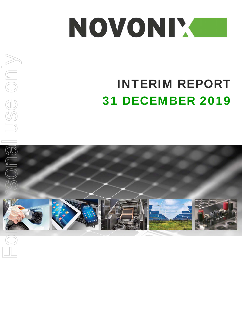

# INTERIM REPORT 31 DECEMBER 2019



USE ONIV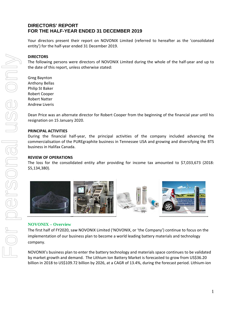Your directors present their report on NOVONIX Limited (referred to hereafter as the 'consolidated entity') for the half‐year ended 31 December 2019.

#### **DIRECTORS**

The following persons were directors of NOVONIX Limited during the whole of the half‐year and up to the date of this report, unless otherwise stated:

Greg Baynton Anthony Bellas Philip St Baker Robert Cooper Robert Natter Andrew Liveris

Dean Price was an alternate director for Robert Cooper from the beginning of the financial year until his resignation on 15 January 2020.

# **PRINCIPAL ACTIVITIES**

During the financial half‐year, the principal activities of the company included advancing the commercialisation of the PUREgraphite business in Tennessee USA and growing and diversifying the BTS business in Halifax Canada.

#### **REVIEW OF OPERATIONS**

The loss for the consolidated entity after providing for income tax amounted to \$7,033,673 (2018: \$5,134,380).



#### **NOVONIX – Overview**

The first half of FY2020, saw NOVONIX Limited ('NOVONIX, or 'the Company') continue to focus on the implementation of our business plan to become a world leading battery materials and technology company.

NOVONIX's business plan to enter the battery technology and materials space continues to be validated by market growth and demand. The Lithium Ion Battery Market is forecasted to grow from US\$36.20 billion in 2018 to US\$109.72 billion by 2026, at a CAGR of 13.4%, during the forecast period. Lithium‐ion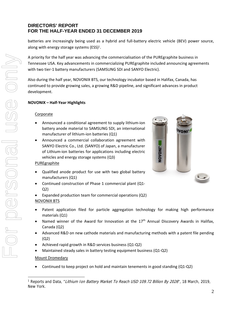batteries are increasingly being used as a hybrid and full‐battery electric vehicle (BEV) power source, along with energy storage systems (ESS) $<sup>1</sup>$ .</sup>

A priority for the half year was advancing the commercialisation of the PUREgraphite business in Tennessee USA. Key advancements in commercializing PUREgraphite included announcing agreements with two tier-1 battery manufacturers (SAMSUNG SDI and SANYO Electric).

Also during the half year, NOVONIX BTS, our technology incubator based in Halifax, Canada, has continued to provide growing sales, a growing R&D pipeline, and significant advances in product development.

# **NOVONIX – Half‐Year Highlights**

# **Corporate**

- Announced a conditional agreement to supply lithium‐ion battery anode material to SAMSUNG SDI, an international manufacturer of lithium-ion batteries (Q1)
- Announced a commercial collaboration agreement with SANYO Electric Co., Ltd. (SANYO) of Japan, a manufacturer of Lithium‐ion batteries for applications including electric vehicles and energy storage systems (Q3)

# **PUREgraphite**

- Qualified anode product for use with two global battery manufacturers (Q1)
- Continued construction of Phase 1 commercial plant (Q1‐ Q2)
- Expanded production team for commercial operations (Q2)

# NOVONIX BTS

- Patent application filed for particle aggregation technology for making high performance materials (Q1)
- Named winner of the Award for Innovation at the 17<sup>th</sup> Annual Discovery Awards in Halifax, Canada (Q2)
- Advanced R&D on new cathode materials and manufacturing methods with a patent file pending (Q2)
- Achieved rapid growth in R&D services business (Q1‐Q2)
- Maintained steady sales in battery testing equipment business (Q1‐Q2)

# Mount Dromedary

Continued to keep project on hold and maintain tenements in good standing (Q1‐Q2)



<sup>&</sup>lt;sup>1</sup> Reports and Data, "*Lithium Ion Battery Market To Reach USD 109.72 Billion By 2026*", 18 March, 2019, New York.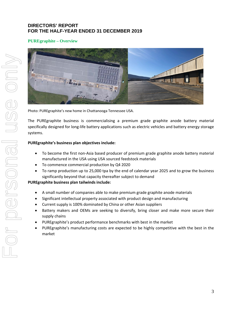# **PUREgraphite – Overview**



Photo: PUREgraphite's new home in Chattanooga Tennessee USA.

The PUREgraphite business is commercialising a premium grade graphite anode battery material specifically designed for long‐life battery applications such as electric vehicles and battery energy storage systems.

#### **PUREgraphite's business plan objectives include:**

- To become the first non-Asia based producer of premium grade graphite anode battery material manufactured in the USA using USA sourced feedstock materials
- To commence commercial production by Q4 2020
- To ramp production up to 25,000 tpa by the end of calendar year 2025 and to grow the business significantly beyond that capacity thereafter subject to demand

# **PUREgraphite business plan tailwinds include:**

- A small number of companies able to make premium grade graphite anode materials
- Significant intellectual property associated with product design and manufacturing
- Current supply is 100% dominated by China or other Asian suppliers
- Battery makers and OEMs are seeking to diversify, bring closer and make more secure their supply chains
- PUREgraphite's product performance benchmarks with best in the market
- PUREgraphite's manufacturing costs are expected to be highly competitive with the best in the market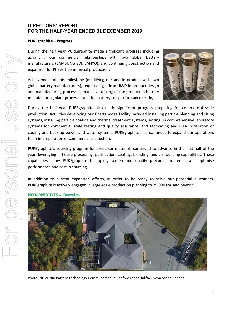#### **PUREgraphite – Progress**

During the half year PUREgraphite made significant progress including advancing our commercial relationships with two global battery manufacturers (SAMSUNG SDI, SANYO), and continuing construction and expansion for Phase 1 commercial production.

Achievement of this milestone (qualifying our anode product with two global battery manufacturers), required significant R&D in product design and manufacturing processes, extensive testing of the product in battery manufacturing plant processes and full battery cell performance testing.



During the half year PUREgraphite also made significant progress preparing for commercial scale production. Activities developing our Chattanooga facility included installing particle blending and sizing systems, installing particle coating and thermal treatment systems, setting up comprehensive laboratory systems for commercial scale testing and quality assurance, and fabricating and 80% installation of cooling and back‐up power and water systems. PUREgraphite also continues to expand our operations team in preparation of commercial production.

PUREgraphite's sourcing program for precursor materials continued to advance in the first half of the year, leveraging in‐house processing, purification, coating, blending, and cell building capabilities. These capabilities allow PUREgraphite to rapidly screen and qualify precursor materials and optimise performance and cost in sourcing.

In addition to current expansion efforts, in order to be ready to serve our potential customers, PUREgraphite is actively engaged in large‐scale production planning to 25,000 tpa and beyond.

#### **NOVONIX BTS – Overview**



Photo: NOVONIX Battery Technology Centre located in Bedford (near Halifax) Nova Scotia Canada.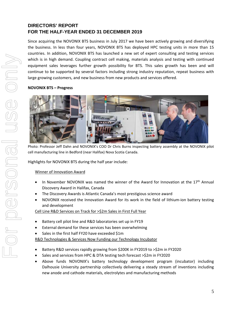Since acquiring the NOVONIX BTS business in July 2017 we have been actively growing and diversifying the business. In less than four years, NOVONIX BTS has deployed HPC testing units in more than 15 countries. In addition, NOVONIX BTS has launched a new set of expert consulting and testing services which is in high demand. Coupling contract cell making, materials analysis and testing with continued equipment sales leverages further growth possibility for BTS. This sales growth has been and will continue to be supported by several factors including strong industry reputation, repeat business with large growing customers, and new business from new products and services offered.

# **NOVONIX BTS – Progress**



Photo: Professor Jeff Dahn and NOVONIX's COO Dr Chris Burns inspecting battery assembly at the NOVONIX pilot cell manufacturing line in Bedford (near Halifax) Nova Scotia Canada.

Highlights for NOVONIX BTS during the half year include:

# Winner of Innovation Award

- In November NOVONIX was named the winner of the Award for Innovation at the  $17<sup>th</sup>$  Annual Discovery Award in Halifax, Canada
- The Discovery Awards is Atlantic Canada's most prestigious science award
- NOVONIX received the Innovation Award for its work in the field of lithium‐ion battery testing and development

Cell Line R&D Services on Track for >\$2m Sales in First Full Year

- Battery cell pilot line and R&D laboratories set up in FY19
- External demand for these services has been overwhelming
- Sales in the first half FY20 have exceeded \$1m

R&D Technologies & Services Now Funding our Technology Incubator

- Battery R&D services rapidly growing from \$200K in FY2019 to >\$2m in FY2020
- Sales and services from HPC & DTA testing tech forecast > \$2m in FY2020
- Above funds NOVONIX's battery technology development program (incubator) including Dalhousie University partnership collectively delivering a steady stream of inventions including new anode and cathode materials, electrolytes and manufacturing methods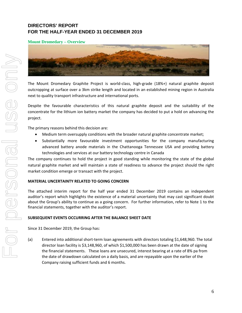# **Mount Dromedary – Overview**



The Mount Dromedary Graphite Project is world‐class, high‐grade (18%+) natural graphite deposit outcropping at surface over a 3km strike length and located in an established mining region in Australia next to quality transport infrastructure and international ports.

Despite the favourable characteristics of this natural graphite deposit and the suitability of the concentrate for the lithium ion battery market the company has decided to put a hold on advancing the project.

The primary reasons behind this decision are:

- Medium term oversupply conditions with the broader natural graphite concentrate market;
- Substantially more favourable investment opportunities for the company manufacturing advanced battery anode materials in the Chattanooga Tennessee USA and providing battery technologies and services at our battery technology centre in Canada

The company continues to hold the project in good standing while monitoring the state of the global natural graphite market and will maintain a state of readiness to advance the project should the right market condition emerge or transact with the project.

#### **MATERIAL UNCERTAINTY RELATED TO GOING CONCERN**

The attached interim report for the half year ended 31 December 2019 contains an independent auditor's report which highlights the existence of a material uncertainty that may cast significant doubt about the Group's ability to continue as a going concern. For further information, refer to Note 1 to the financial statements, together with the auditor's report.

#### **SUBSEQUENT EVENTS OCCURRING AFTER THE BALANCE SHEET DATE**

Since 31 December 2019, the Group has:

(a) Entered into additional short‐term loan agreements with directors totaling \$1,648,960. The total director loan facility is \$3,148,960, of which \$1,500,000 has been drawn at the date of signing the financial statements. These loans are unsecured, interest bearing at a rate of 8% pa from the date of drawdown calculated on a daily basis, and are repayable upon the earlier of the Company raising sufficient funds and 6 months.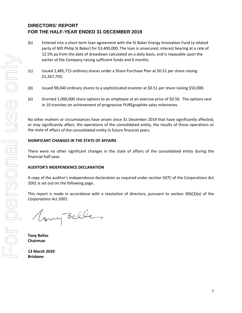- (b) Entered into a short‐term loan agreement with the St Baker Energy Innovation Fund (a related party of MD Philip St Baker) for \$3,400,000. The loan is unsecured, interest bearing at a rate of 12.5% pa from the date of drawdown calculated on a daily basis, and is repayable upon the earlier of the Company raising sufficient funds and 6 months.
- (c) Issued 2,485,715 ordinary shares under a Share Purchase Plan at \$0.51 per share raising \$1,267,750;
- (d) Issued 98,040 ordinary shares to a sophisticated investor at \$0.51 per share raising \$50,000.
- (e) Granted 1,000,000 share options to an employee at an exercise price of \$0.50. The options vest in 10 tranches on achievement of progressive PUREgraphite sales milestones.

No other matters or circumstances have arisen since 31 December 2019 that have significantly affected, or may significantly affect, the operations of the consolidated entity, the results of those operations or the state of affairs of the consolidated entity in future financial years.

#### **SIGNIFICANT CHANGES IN THE STATE OF AFFAIRS**

There were no other significant changes in the state of affairs of the consolidated entity during the financial half‐year.

#### **AUDITOR'S INDEPENDENCE DECLARATION**

A copy of the auditor's independence declaration as required under section 307C of the Corporations Act 2001 is set out on the following page.

This report is made in accordance with a resolution of directors, pursuant to section 306(3)(a) of the *Corporations Act 2001*.

Very Belles

**Tony Bellas Chairman**

**13 March 2020 Brisbane**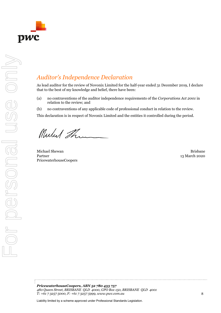

# *Auditor's Independence Declaration*

As lead auditor for the review of Novonix Limited for the half-year ended 31 December 2019, I declare that to the best of my knowledge and belief, there have been:

- (a) no contraventions of the auditor independence requirements of the *Corporations Act 2001* in relation to the review; and
- (b) no contraventions of any applicable code of professional conduct in relation to the review.

This declaration is in respect of Novonix Limited and the entities it controlled during the period.

Mulut The

Michael Shewan Brisbane Partner PricewaterhouseCoopers

13 March 2020

*PricewaterhouseCoopers, ABN 52 780 433 757 480 Queen Street, BRISBANE QLD 4000, GPO Box 150, BRISBANE QLD 4001 T: +61 7 3257 5000, F: +61 7 3257 5999, www.pwc.com.au*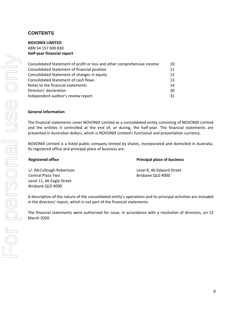# **CONTENTS**

#### **NOVONIX LIMITED**

ABN 54 157 690 830 **Half‐year financial report**

| Consolidated Statement of profit or loss and other comprehensive income | 10 |
|-------------------------------------------------------------------------|----|
| Consolidated Statement of financial position                            | 11 |
| Consolidated Statement of changes in equity                             | 12 |
| <b>Consolidated Statement of cash flows</b>                             | 13 |
| Notes to the financial statements                                       | 14 |
| Directors' declaration                                                  | 30 |
| Independent auditor's review report                                     | 31 |

#### **General information**

The financial statements cover NOVONIX Limited as a consolidated entity consisting of NOVONIX Limited and the entities it controlled at the end of, or during, the half-year. The financial statements are presented in Australian dollars, which is NOVONIX Limited's functional and presentation currency.

NOVONIX Limited is a listed public company limited by shares, incorporated and domiciled in Australia. Its registered office and principal place of business are:

**Registered office Principal place of business**

c/‐ McCullough Robertson Level 8, 46 Edward Street Central Plaza Two **Brisbane QLD 4000** Level 11, 66 Eagle Street Brisbane QLD 4000

A description of the nature of the consolidated entity's operations and its principal activities are included in the directors' report, which is not part of the financial statements.

The financial statements were authorised for issue, in accordance with a resolution of directors, on 13 March 2020.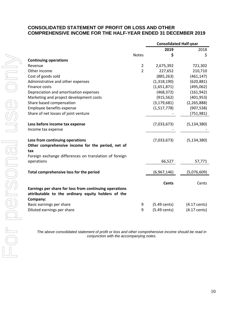# **CONSOLIDATED STATEMENT OF PROFIT OR LOSS AND OTHER COMPREHENSIVE INCOME FOR THE HALF-YEAR ENDED 31 DECEMBER 2019**

**Consolidated Half‐year**

|                                                                                                                          |                | 2019                   | 2018                   |
|--------------------------------------------------------------------------------------------------------------------------|----------------|------------------------|------------------------|
|                                                                                                                          | <b>Notes</b>   | \$                     | \$                     |
| <b>Continuing operations</b>                                                                                             |                |                        |                        |
| Revenue                                                                                                                  | $\overline{2}$ | 2,675,392              | 721,302                |
| Other income                                                                                                             | $\overline{2}$ | 227,652                | 210,710                |
| Cost of goods sold                                                                                                       |                | (885, 263)             | (461, 147)             |
| Administrative and other expenses                                                                                        |                | (1,318,190)            | (620, 881)             |
| Finance costs                                                                                                            |                | (1,651,871)            | (495,062)              |
| Depreciation and amortisation expenses                                                                                   |                | (468, 372)             | (161, 942)             |
| Marketing and project development costs                                                                                  |                | (915, 562)             | (401, 953)             |
| Share based compensation                                                                                                 |                | (3, 179, 681)          | (2, 265, 888)          |
| Employee benefits expense                                                                                                |                | (1,517,778)            | (907, 538)             |
| Share of net losses of joint venture                                                                                     |                |                        | (751, 981)             |
| Loss before income tax expense                                                                                           |                | (7,033,673)            | (5, 134, 380)          |
| Income tax expense                                                                                                       |                |                        |                        |
| Loss from continuing operations                                                                                          |                | (7,033,673)            | (5, 134, 380)          |
| Other comprehensive income for the period, net of                                                                        |                |                        |                        |
| tax                                                                                                                      |                |                        |                        |
| Foreign exchange differences on translation of foreign                                                                   |                |                        |                        |
| operations                                                                                                               |                | 66,527                 | 57,771                 |
| Total comprehensive loss for the period                                                                                  |                | (6,967,146)            | (5,076,609)            |
|                                                                                                                          |                | <b>Cents</b>           | Cents                  |
| Earnings per share for loss from continuing operations<br>attributable to the ordinary equity holders of the<br>Company: |                |                        |                        |
| Basic earnings per share                                                                                                 | 9              | $(5.49 \text{ cents})$ | $(4.17 \text{ cents})$ |
| Diluted earnings per share                                                                                               | 9              | $(5.49 \text{ cents})$ | $(4.17 \text{ cents})$ |

*The above consolidated statement of profit or loss and other comprehensive income should be read in conjunction with the accompanying notes.*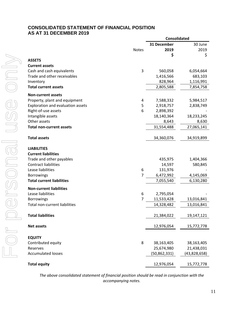# **CONSOLIDATED STATEMENT OF FINANCIAL POSITION AS AT 31 DECEMBER 2019**

|                                   |              | <b>Consolidated</b> |              |  |
|-----------------------------------|--------------|---------------------|--------------|--|
|                                   |              | 31 December         | 30 June      |  |
|                                   | <b>Notes</b> | 2019                | 2019         |  |
|                                   |              | \$                  | \$           |  |
| <b>ASSETS</b>                     |              |                     |              |  |
| <b>Current assets</b>             |              |                     |              |  |
| Cash and cash equivalents         | 3            | 560,058             | 6,054,664    |  |
| Trade and other receivables       |              | 1,416,566           | 683,103      |  |
| Inventory                         |              | 828,964             | 1,116,991    |  |
| <b>Total current assets</b>       |              | 2,805,588           | 7,854,758    |  |
| <b>Non-current assets</b>         |              |                     |              |  |
| Property, plant and equipment     | 4            | 7,588,332           | 5,984,517    |  |
| Exploration and evaluation assets | 5            | 2,918,757           | 2,838,749    |  |
| Right-of-use assets               | 6            | 2,898,392           |              |  |
| Intangible assets                 |              | 18,140,364          | 18,233,245   |  |
| Other assets                      |              | 8,643               | 8,630        |  |
| <b>Total non-current assets</b>   |              | 31,554,488          | 27,065,141   |  |
| <b>Total assets</b>               |              | 34,360,076          | 34,919,899   |  |
| <b>LIABILITIES</b>                |              |                     |              |  |
| <b>Current liabilities</b>        |              |                     |              |  |
| Trade and other payables          |              | 435,975             | 1,404,366    |  |
| <b>Contract liabilities</b>       |              | 14,597              | 580,845      |  |
| Lease liabilities                 | 6            | 131,976             |              |  |
| <b>Borrowings</b>                 | 7            | 6,472,992           | 4,145,069    |  |
| <b>Total current liabilities</b>  |              | 7,055,540           | 6,130,280    |  |
| <b>Non-current liabilities</b>    |              |                     |              |  |
| Lease liabilities                 | 6            | 2,795,054           |              |  |
| <b>Borrowings</b>                 | 7            | 11,533,428          | 13,016,841   |  |
| Total non-current liabilities     |              | 14,328,482          | 13,016,841   |  |
| <b>Total liabilities</b>          |              | 21,384,022          | 19,147,121   |  |
|                                   |              |                     |              |  |
| <b>Net assets</b>                 |              | 12,976,054          | 15,772,778   |  |
| <b>EQUITY</b>                     |              |                     |              |  |
| Contributed equity                | 8            | 38,163,405          | 38,163,405   |  |
| Reserves                          |              | 25,674,980          | 21,438,031   |  |
| <b>Accumulated losses</b>         |              | (50, 862, 331)      | (43,828,658) |  |
| <b>Total equity</b>               |              | 12,976,054          | 15,772,778   |  |

*The above consolidated statement of financial position should be read in conjunction with the accompanying notes.*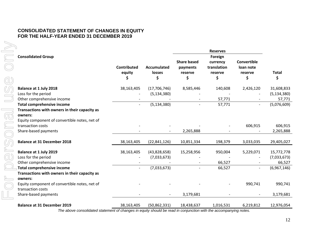# **CONSOLIDATED STATEMENT OF CHANGES IN EQUITY FOR THE HALF-YEAR ENDED 31 DECEMBER 2019**

|                                                                    |                                    |                             |                                                 | <b>Reserves</b>                                     |                                                  |                    |
|--------------------------------------------------------------------|------------------------------------|-----------------------------|-------------------------------------------------|-----------------------------------------------------|--------------------------------------------------|--------------------|
| <b>Consolidated Group</b>                                          | <b>Contributed</b><br>equity<br>\$ | Accumulated<br>losses<br>\$ | <b>Share based</b><br>payments<br>reserve<br>\$ | Foreign<br>currency<br>translation<br>reserve<br>\$ | <b>Convertible</b><br>loan note<br>reserve<br>\$ | <b>Total</b><br>\$ |
| <b>Balance at 1 July 2018</b>                                      | 38,163,405                         | (17,706,746)                | 8,585,446                                       | 140,608                                             | 2,426,120                                        | 31,608,833         |
| Loss for the period                                                |                                    | (5, 134, 380)               |                                                 |                                                     |                                                  | (5, 134, 380)      |
| Other comprehensive income                                         |                                    |                             |                                                 | 57,771                                              |                                                  | 57,771             |
| <b>Total comprehensive income</b>                                  | $\blacksquare$                     | (5, 134, 380)               |                                                 | 57,771                                              | $\overline{a}$                                   | (5,076,609)        |
| Transactions with owners in their capacity as                      |                                    |                             |                                                 |                                                     |                                                  |                    |
| owners:                                                            |                                    |                             |                                                 |                                                     |                                                  |                    |
| Equity component of convertible notes, net of                      |                                    |                             |                                                 |                                                     |                                                  |                    |
| transaction costs                                                  |                                    |                             |                                                 |                                                     | 606,915                                          | 606,915            |
| Share-based payments                                               |                                    |                             | 2,265,888                                       |                                                     |                                                  | 2,265,888          |
| <b>Balance at 31 December 2018</b>                                 | 38,163,405                         | (22,841,126)                | 10,851,334                                      | 198,379                                             | 3,033,035                                        | 29,405,027         |
| Balance at 1 July 2019                                             | 38,163,405                         | (43,828,658)                | 15,258,956                                      | 950,004                                             | 5,229,071                                        | 15,772,778         |
| Loss for the period                                                |                                    | (7,033,673)                 |                                                 |                                                     |                                                  | (7,033,673)        |
| Other comprehensive income                                         |                                    |                             |                                                 | 66,527                                              |                                                  | 66,527             |
| <b>Total comprehensive income</b>                                  | $\sim$                             | (7,033,673)                 |                                                 | 66,527                                              | $\overline{\phantom{0}}$                         | (6,967,146)        |
| Transactions with owners in their capacity as<br>owners:           |                                    |                             |                                                 |                                                     |                                                  |                    |
| Equity component of convertible notes, net of<br>transaction costs |                                    |                             |                                                 |                                                     | 990,741                                          | 990,741            |
| Share-based payments                                               |                                    |                             | 3,179,681                                       |                                                     |                                                  | 3,179,681          |
| <b>Balance at 31 December 2019</b>                                 | 38,163,405                         | (50, 862, 331)              | 18,438,637                                      | 1,016,531                                           | 6,219,812                                        | 12,976,054         |

*The above consolidated statement of changes in equity should be read in conjunction with the accompanying notes.*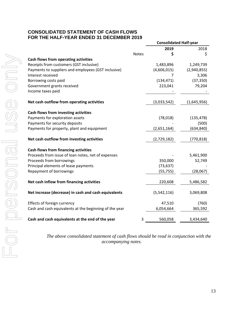# **CONSOLIDATED STATEMENT OF CASH FLOWS FOR THE HALF-YEAR ENDED 31 DECEMBER 2019**

|                                                        |              | <b>Consolidated Half-year</b> |             |  |
|--------------------------------------------------------|--------------|-------------------------------|-------------|--|
|                                                        |              | 2019                          | 2018        |  |
|                                                        | <b>Notes</b> | S                             | \$          |  |
| Cash flows from operating activities                   |              |                               |             |  |
| Receipts from customers (GST inclusive)                |              | 1,483,896                     | 1,249,739   |  |
| Payments to suppliers and employees (GST inclusive)    |              | (4,606,015)                   | (2,940,855) |  |
| Interest received                                      |              | 7                             | 3,306       |  |
| Borrowing costs paid                                   |              | (134, 471)                    | (37, 350)   |  |
| Government grants received                             |              | 223,041                       | 79,204      |  |
| Income taxes paid                                      |              |                               |             |  |
|                                                        |              |                               |             |  |
| Net cash outflow from operating activities             |              | (3,033,542)                   | (1,645,956) |  |
| Cash flows from investing activities                   |              |                               |             |  |
| Payments for exploration assets                        |              | (78, 018)                     | (135, 478)  |  |
| Payments for security deposits                         |              |                               | (500)       |  |
| Payments for property, plant and equipment             |              | (2,651,164)                   | (634, 840)  |  |
| Net cash outflow from investing activities             |              | (2,729,182)                   | (770, 818)  |  |
|                                                        |              |                               |             |  |
| <b>Cash flows from financing activities</b>            |              |                               |             |  |
| Proceeds from issue of loan notes, net of expenses     |              |                               | 5,461,900   |  |
| Proceeds from borrowings                               |              | 350,000                       | 52,749      |  |
| Principal elements of lease payments                   |              | (73, 637)                     |             |  |
| Repayment of borrowings                                |              | (55, 755)                     | (28,067)    |  |
| Net cash inflow from financing activities              |              | 220,608                       | 5,486,582   |  |
|                                                        |              |                               |             |  |
| Net increase (decrease) in cash and cash equivalents   |              | (5,542,116)                   | 3,069,808   |  |
| Effects of foreign currency                            |              | 47,510                        | (760)       |  |
| Cash and cash equivalents at the beginning of the year |              | 6,054,664                     | 365,592     |  |
|                                                        |              |                               |             |  |
| Cash and cash equivalents at the end of the year       | 3            | 560,058                       | 3,434,640   |  |

*The above consolidated statement of cash flows should be read in conjunction with the accompanying notes.*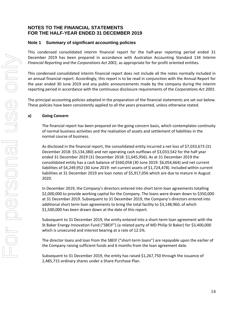# **Note 1 Summary of significant accounting policies**

This condensed consolidated interim financial report for the half‐year reporting period ended 31 December 2019 has been prepared in accordance with Australian Accounting Standard 134 *Interim Financial Reporting* and the *Corporations Act 2001,* as appropriate for for‐profit oriented entities.

This condensed consolidated interim financial report does not include all the notes normally included in an annual financial report. Accordingly, this report is to be read in conjunction with the Annual Report for the year ended 30 June 2019 and any public announcements made by the company during the interim reporting period in accordance with the continuous disclosure requirements of the *Corporations Act 2001*.

The principal accounting policies adopted in the preparation of the financial statements are set out below. These policies have been consistently applied to all the years presented, unless otherwise stated.

#### **a) Going Concern**

The financial report has been prepared on the going concern basis, which contemplates continuity of normal business activities and the realisation of assets and settlement of liabilities in the normal course of business.

As disclosed in the financial report, the consolidated entity incurred a net loss of \$7,033,673 (31 December 2018: \$5,134,380) and net operating cash outflows of \$3,033,542 for the half year ended 31 December 2019 (31 December 2018: \$1,645,956). As at 31 December 2019 the consolidated entity has a cash balance of \$560,058 (30 June 2019: \$6,054,664) and net current liabilities of \$4,249,952 (30 June 2019: net current assets of \$1,724,478). Included within current liabilities at 31 December 2019 are loan notes of \$5,917,056 which are due to mature in August 2020.

In December 2019, the Company's directors entered into short term loan agreements totalling \$2,000,000 to provide working capital for the Company. The loans were drawn down to \$350,000 at 31 December 2019. Subsequent to 31 December 2019, the Company's directors entered into additional short term loan agreements to bring the total facility to \$3,148,960, of which \$1,500,000 has been drawn down at the date of this report.

Subsequent to 31 December 2019, the entity entered into a short‐term loan agreement with the St Baker Energy Innovation Fund ("SBEIF") (a related party of MD Philip St Baker) for \$3,400,000 which is unsecured and interest bearing at a rate of 12.5%.

The director loans and loan from the SBEIF ("short‐term loans") are repayable upon the earlier of the Company raising sufficient funds and 6 months from the loan agreement date.

Subsequent to 31 December 2019, the entity has raised \$1,267,750 through the issuance of 2,485,715 ordinary shares under a Share Purchase Plan.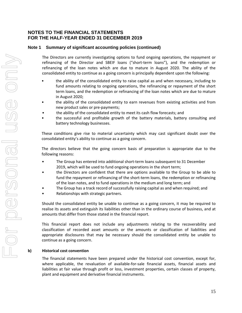# **Note 1 Summary of significant accounting policies (continued)**

The Directors are currently investigating options to fund ongoing operations, the repayment or refinancing of the Director and SBEIF loans ("short-term loans"), and the redemption or refinancing of the loan notes which are due to mature in August 2020. The ability of the consolidated entity to continue as a going concern is principally dependent upon the following:

- the ability of the consolidated entity to raise capital as and when necessary, including to fund amounts relating to ongoing operations, the refinancing or repayment of the short term loans, and the redemption or refinancing of the loan notes which are due to mature in August 2020;
- the ability of the consolidated entity to earn revenues from existing activities and from new product sales or pre‐payments;
- the ability of the consolidated entity to meet its cash flow forecasts; and
- the successful and profitable growth of the battery materials, battery consulting and battery technology businesses.

These conditions give rise to material uncertainty which may cast significant doubt over the consolidated entity's ability to continue as a going concern.

The directors believe that the going concern basis of preparation is appropriate due to the following reasons:

- The Group has entered into additional short-term loans subsequent to 31 December 2019, which will be used to fund ongoing operations in the short term;
- the Directors are confident that there are options available to the Group to be able to fund the repayment or refinancing of the short-term loans, the redemption or refinancing of the loan notes, and to fund operations in the medium and long term; and
- The Group has a track record of successfully raising capital as and when required; and
- Relationships with strategic partners.

Should the consolidated entity be unable to continue as a going concern, it may be required to realise its assets and extinguish its liabilities other than in the ordinary course of business, and at amounts that differ from those stated in the financial report.

This financial report does not include any adjustments relating to the recoverability and classification of recorded asset amounts or the amounts or classification of liabilities and appropriate disclosures that may be necessary should the consolidated entity be unable to continue as a going concern.

#### **b) Historical cost convention**

The financial statements have been prepared under the historical cost convention, except for, where applicable, the revaluation of available-for-sale financial assets, financial assets and liabilities at fair value through profit or loss, investment properties, certain classes of property, plant and equipment and derivative financial instruments.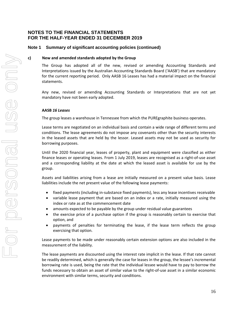#### **Note 1 Summary of significant accounting policies (continued)**

#### **c) New and amended standards adopted by the Group**

The Group has adopted all of the new, revised or amending Accounting Standards and Interpretations issued by the Australian Accounting Standards Board ('AASB') that are mandatory for the current reporting period. Only AASB 16 Leases has had a material impact on the financial statements.

Any new, revised or amending Accounting Standards or Interpretations that are not yet mandatory have not been early adopted.

#### **AASB** *16 Leases*

The group leases a warehouse in Tennessee from which the PUREgraphite business operates.

Lease terms are negotiated on an individual basis and contain a wide range of different terms and conditions. The lease agreements do not impose any covenants other than the security interests in the leased assets that are held by the lessor. Leased assets may not be used as security for borrowing purposes.

Until the 2020 financial year, leases of property, plant and equipment were classified as either finance leases or operating leases. From 1 July 2019, leases are recognised as a right‐of‐use asset and a corresponding liability at the date at which the leased asset is available for use by the group.

Assets and liabilities arising from a lease are initially measured on a present value basis. Lease liabilities include the net present value of the following lease payments:

- fixed payments (including in-substance fixed payments), less any lease incentives receivable
- variable lease payment that are based on an index or a rate, initially measured using the index or rate as at the commencement date
- amounts expected to be payable by the group under residual value guarantees
- the exercise price of a purchase option if the group is reasonably certain to exercise that option, and
- payments of penalties for terminating the lease, if the lease term reflects the group exercising that option.

Lease payments to be made under reasonably certain extension options are also included in the measurement of the liability.

The lease payments are discounted using the interest rate implicit in the lease. If that rate cannot be readily determined, which is generally the case for leases in the group, the lessee's incremental borrowing rate is used, being the rate that the individual lessee would have to pay to borrow the funds necessary to obtain an asset of similar value to the right‐of‐use asset in a similar economic environment with similar terms, security and conditions.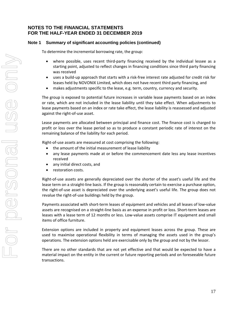# **Note 1 Summary of significant accounting policies (continued)**

To determine the incremental borrowing rate, the group:

- where possible, uses recent third-party financing received by the individual lessee as a starting point, adjusted to reflect changes in financing conditions since third party financing was received
- uses a build‐up approach that starts with a risk‐free interest rate adjusted for credit risk for leases held by NOVONIX Limited, which does not have recent third party financing, and
- makes adjustments specific to the lease, e.g. term, country, currency and security.

The group is exposed to potential future increases in variable lease payments based on an index or rate, which are not included in the lease liability until they take effect. When adjustments to lease payments based on an index or rate take effect, the lease liability is reassessed and adjusted against the right‐of‐use asset.

Lease payments are allocated between principal and finance cost. The finance cost is charged to profit or loss over the lease period so as to produce a constant periodic rate of interest on the remaining balance of the liability for each period.

Right‐of‐use assets are measured at cost comprising the following:

- the amount of the initial measurement of lease liability
- any lease payments made at or before the commencement date less any lease incentives received
- any initial direct costs, and
- restoration costs.

Right‐of‐use assets are generally depreciated over the shorter of the asset's useful life and the lease term on a straight-line basis. If the group is reasonably certain to exercise a purchase option, the right-of-use asset is depreciated over the underlying asset's useful life. The group does not revalue the right‐of‐use buildings held by the group.

Payments associated with short‐term leases of equipment and vehicles and all leases of low‐value assets are recognised on a straight‐line basis as an expense in profit or loss. Short‐term leases are leases with a lease term of 12 months or less. Low-value assets comprise IT equipment and small items of office furniture.

Extension options are included in property and equipment leases across the group. These are used to maximise operational flexibility in terms of managing the assets used in the group's operations. The extension options held are exercisable only by the group and not by the lessor.

There are no other standards that are not yet effective and that would be expected to have a material impact on the entity in the current or future reporting periods and on foreseeable future transactions.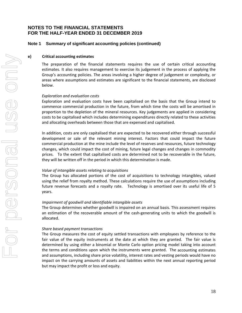#### **Note 1 Summary of significant accounting policies (continued)**

#### **e) Critical accounting estimates**

The preparation of the financial statements requires the use of certain critical accounting estimates. It also requires management to exercise its judgement in the process of applying the Group's accounting policies. The areas involving a higher degree of judgement or complexity, or areas where assumptions and estimates are significant to the financial statements, are disclosed below.

#### *Exploration and evaluation costs*

Exploration and evaluation costs have been capitalised on the basis that the Group intend to commence commercial production in the future, from which time the costs will be amortised in proportion to the depletion of the mineral resources. Key judgements are applied in considering costs to be capitalised which includes determining expenditures directly related to these activities and allocating overheads between those that are expensed and capitalised.

In addition, costs are only capitalised that are expected to be recovered either through successful development or sale of the relevant mining interest. Factors that could impact the future commercial production at the mine include the level of reserves and resources, future technology changes, which could impact the cost of mining, future legal changes and changes in commodity prices. To the extent that capitalised costs are determined not to be recoverable in the future, they will be written off in the period in which this determination is made.

#### *Value of intangible assets relating to acquisitions*

The Group has allocated portions of the cost of acquisitions to technology intangibles, valued using the relief from royalty method. These calculations require the use of assumptions including future revenue forecasts and a royalty rate. Technology is amortised over its useful life of 5 years.

#### *Impairment of goodwill and identifiable intangible assets*

The Group determines whether goodwill is impaired on an annual basis. This assessment requires an estimation of the recoverable amount of the cash-generating units to which the goodwill is allocated.

#### *Share based payment transactions*

The Group measures the cost of equity settled transactions with employees by reference to the fair value of the equity instruments at the date at which they are granted. The fair value is determined by using either a binomial or Monte Carlo option pricing model taking into account the terms and conditions upon which the instruments were granted. The accounting estimates and assumptions, including share price volatility, interest rates and vesting periods would have no impact on the carrying amounts of assets and liabilities within the next annual reporting period but may impact the profit or loss and equity.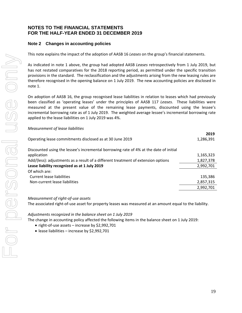# **Note 2 Changes in accounting policies**

This note explains the impact of the adoption of AASB 16 *Leases* on the group's financial statements.

As indicated in note 1 above, the group had adopted AASB *Leases* retrospectively from 1 July 2019, but has not restated comparatives for the 2018 reporting period, as permitted under the specific transition provisions in the standard. The reclassification and the adjustments arising from the new leasing rules are therefore recognised in the opening balance on 1 July 2019. The new accounting policies are disclosed in note 1.

On adoption of AASB 16, the group recognised lease liabilities in relation to leases which had previously been classified as 'operating leases' under the principles of AASB 117 *Leases*. These liabilities were measured at the present value of the remaining lease payments, discounted using the lessee's incremental borrowing rate as of 1 July 2019. The weighted average lessee's incremental borrowing rate applied to the lease liabilities on 1 July 2019 was 4%.

#### *Measurement of lease liabilities*

|                                                                                       | 2019      |
|---------------------------------------------------------------------------------------|-----------|
| Operating lease commitments disclosed as at 30 June 2019                              | 1,286,391 |
|                                                                                       |           |
| Discounted using the lessee's incremental borrowing rate of 4% at the date of initial |           |
| application                                                                           | 1,165,323 |
| Add/(less): adjustments as a result of a different treatment of extension options     | 1,827,378 |
| Lease liability recognized as at 1 July 2019                                          | 2,992,701 |
| Of which are:                                                                         |           |
| Current lease liabilities                                                             | 135,386   |
| Non-current lease liabilities                                                         | 2,857,315 |
|                                                                                       | 2,992,701 |

#### *Measurement of right‐of‐use assets*

The associated right‐of‐use asset for property leases was measured at an amount equal to the liability.

*Adjustments recognized in the balance sheet on 1 July 2019*

The change in accounting policy affected the following items in the balance sheet on 1 July 2019:

- right-of-use assets increase by \$2,992,701
- $\bullet$  lease liabilities increase by \$2,992,701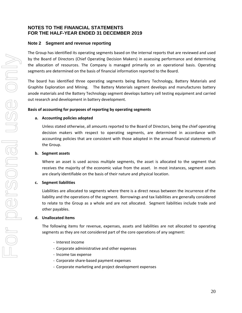#### **Note 2 Segment and revenue reporting**

The Group has identified its operating segments based on the internal reports that are reviewed and used by the Board of Directors (Chief Operating Decision Makers) in assessing performance and determining the allocation of resources. The Company is managed primarily on an operational basis. Operating segments are determined on the basis of financial information reported to the Board.

The board has identified three operating segments being Battery Technology, Battery Materials and Graphite Exploration and Mining. The Battery Materials segment develops and manufactures battery anode materials and the Battery Technology segment develops battery cell testing equipment and carried out research and development in battery development.

#### **Basis of accounting for purposes of reporting by operating segments**

#### **a. Accounting policies adopted**

Unless stated otherwise, all amounts reported to the Board of Directors, being the chief operating decision makers with respect to operating segments, are determined in accordance with accounting policies that are consistent with those adopted in the annual financial statements of the Group.

#### **b. Segment assets**

Where an asset is used across multiple segments, the asset is allocated to the segment that receives the majority of the economic value from the asset. In most instances, segment assets are clearly identifiable on the basis of their nature and physical location.

#### **c. Segment liabilities**

Liabilities are allocated to segments where there is a direct nexus between the incurrence of the liability and the operations of the segment. Borrowings and tax liabilities are generally considered to relate to the Group as a whole and are not allocated. Segment liabilities include trade and other payables.

#### **d. Unallocated items**

The following items for revenue, expenses, assets and liabilities are not allocated to operating segments as they are not considered part of the core operations of any segment:

- ‐ Interest income
- ‐ Corporate administrative and other expenses
- ‐ Income tax expense
- ‐ Corporate share‐based payment expenses
- ‐ Corporate marketing and project development expenses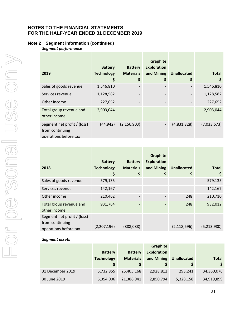# **Note 2 Segment information (continued)**

*Segment performance*

|                                                                         |                   |                   | Graphite           |                    |              |
|-------------------------------------------------------------------------|-------------------|-------------------|--------------------|--------------------|--------------|
|                                                                         | <b>Battery</b>    | <b>Battery</b>    | <b>Exploration</b> |                    |              |
| 2019                                                                    | <b>Technology</b> | <b>Materials</b>  | and Mining         | <b>Unallocated</b> | <b>Total</b> |
|                                                                         | \$                | \$                | Ş                  | \$                 | \$           |
| Sales of goods revenue                                                  | 1,546,810         |                   |                    |                    | 1,546,810    |
| Services revenue                                                        | 1,128,582         | -                 |                    |                    | 1,128,582    |
| Other income                                                            | 227,652           |                   |                    |                    | 227,652      |
| Total group revenue and<br>other income                                 | 2,903,044         | $\qquad \qquad -$ |                    |                    | 2,903,044    |
| Segment net profit / (loss)<br>from continuing<br>operations before tax | (44, 942)         | (2, 156, 903)     |                    | (4,831,828)        | (7,033,673)  |

|                                                                         | <b>Battery</b>    | <b>Battery</b>   | <b>Graphite</b><br><b>Exploration</b> |                    |              |
|-------------------------------------------------------------------------|-------------------|------------------|---------------------------------------|--------------------|--------------|
| 2018                                                                    | <b>Technology</b> | <b>Materials</b> | and Mining                            | <b>Unallocated</b> | <b>Total</b> |
|                                                                         | Ş                 | \$               | Ş                                     | \$                 | \$           |
| Sales of goods revenue                                                  | 579,135           |                  |                                       |                    | 579,135      |
| Services revenue                                                        | 142,167           |                  |                                       |                    | 142,167      |
| Other income                                                            | 210,462           |                  |                                       | 248                | 210,710      |
| Total group revenue and<br>other income                                 | 931,764           |                  |                                       | 248                | 932,012      |
| Segment net profit / (loss)<br>from continuing<br>operations before tax | (2,207,196)       | (888,088)        | -                                     | (2, 118, 696)      | (5,213,980)  |

#### *Segment assets*

|                  |                   |                  | <b>Graphite</b>    |                    |              |
|------------------|-------------------|------------------|--------------------|--------------------|--------------|
|                  | <b>Battery</b>    | <b>Battery</b>   | <b>Exploration</b> |                    |              |
|                  | <b>Technology</b> | <b>Materials</b> | and Mining         | <b>Unallocated</b> | <b>Total</b> |
|                  |                   |                  |                    |                    | \$           |
| 31 December 2019 | 5,732,855         | 25,405,168       | 2,928,812          | 293,241            | 34,360,076   |
| 30 June 2019     | 5,354,006         | 21,386,941       | 2,850,794          | 5,328,158          | 34,919,899   |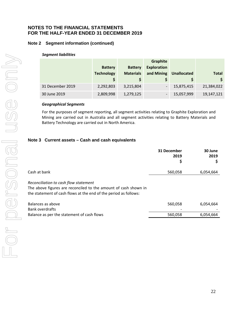# **Note 2 Segment information (continued)**

#### *Segment liabilities*

|                  |                   |                  | Graphite                     |                    |              |
|------------------|-------------------|------------------|------------------------------|--------------------|--------------|
|                  | <b>Battery</b>    | <b>Battery</b>   | <b>Exploration</b>           |                    |              |
|                  | <b>Technology</b> | <b>Materials</b> | and Mining                   | <b>Unallocated</b> | <b>Total</b> |
|                  |                   |                  |                              |                    |              |
| 31 December 2019 | 2,292,803         | 3,215,804        | $\qquad \qquad \blacksquare$ | 15,875,415         | 21,384,022   |
| 30 June 2019     | 2,809,998         | 1,279,125        | $\qquad \qquad \blacksquare$ | 15,057,999         | 19,147,121   |

#### *Geographical Segments*

For the purposes of segment reporting, all segment activities relating to Graphite Exploration and Mining are carried out in Australia and all segment activities relating to Battery Materials and Battery Technology are carried out in North America.

#### **Note 3 Current assets – Cash and cash equivalents**

|                                                                                                                                                                              | 31 December<br>2019<br>\$ | 30 June<br>2019 |
|------------------------------------------------------------------------------------------------------------------------------------------------------------------------------|---------------------------|-----------------|
| Cash at bank                                                                                                                                                                 | 560,058                   | 6,054,664       |
| Reconciliation to cash flow statement<br>The above figures are reconciled to the amount of cash shown in<br>the statement of cash flows at the end of the period as follows: |                           |                 |
| Balances as above<br><b>Bank overdrafts</b>                                                                                                                                  | 560,058                   | 6,054,664       |
| Balance as per the statement of cash flows                                                                                                                                   | 560,058                   | 6,054,664       |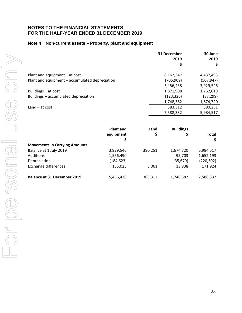#### **Note 4 Non-current assets – Property, plant and equipment**

|                                                | 31 December<br>2019<br>\$ | 30 June<br>2019 |
|------------------------------------------------|---------------------------|-----------------|
| Plant and equipment $-$ at cost                | 6,162,347                 | 4,437,493       |
| Plant and equipment - accumulated depreciation | (705, 909)                | (507, 947)      |
|                                                | 5,456,438                 | 3,929,546       |
| Buildings – at cost                            | 1,871,908                 | 1,762,019       |
| Buildings - accumulated depreciation           | (123, 326)                | (87,299)        |
|                                                | 1,748,582                 | 1,674,720       |
| $Land - at cost$                               | 383,312                   | 380,251         |
|                                                | 7,588,332                 | 5,984,517       |

|                                      | <b>Plant and</b><br>equipment<br>Ş | Land<br>\$               | <b>Buildings</b> | <b>Total</b> |
|--------------------------------------|------------------------------------|--------------------------|------------------|--------------|
| <b>Movements in Carrying Amounts</b> |                                    |                          |                  |              |
| Balance at 1 July 2019               | 3,929,546                          | 380,251                  | 1,674,720        | 5,984,517    |
| <b>Additions</b>                     | 1,556,490                          | $\overline{\phantom{0}}$ | 95,703           | 1,652,193    |
| Depreciation                         | (184, 623)                         | $\overline{\phantom{a}}$ | (35, 679)        | (220, 302)   |
| <b>Exchange differences</b>          | 155,025                            | 3,061                    | 13,838           | 171,924      |
|                                      |                                    |                          |                  |              |
| <b>Balance at 31 December 2019</b>   | 5,456,438                          | 383,312                  | 1,748,582        | 7,588,332    |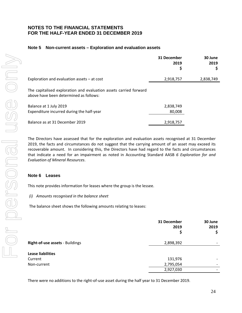#### **Note 5 Non-current assets – Exploration and evaluation assets**

|                                                                                                             | 31 December<br>2019<br>\$ | 30 June<br>2019<br>Ş |
|-------------------------------------------------------------------------------------------------------------|---------------------------|----------------------|
| Exploration and evaluation assets $-$ at cost                                                               | 2,918,757                 | 2,838,749            |
| The capitalised exploration and evaluation assets carried forward<br>above have been determined as follows: |                           |                      |
| Balance at 1 July 2019<br>Expenditure incurred during the half-year                                         | 2,838,749<br>80,008       |                      |
| Balance as at 31 December 2019                                                                              | 2,918,757                 |                      |

The Directors have assessed that for the exploration and evaluation assets recognised at 31 December 2019, the facts and circumstances do not suggest that the carrying amount of an asset may exceed its recoverable amount. In considering this, the Directors have had regard to the facts and circumstances that indicate a need for an impairment as noted in Accounting Standard AASB *6 Exploration for and Evaluation of Mineral Resources*.

#### **Note 6 Leases**

This note provides information for leases where the group is the lessee.

#### *(i) Amounts recognised in the balance sheet*

The balance sheet shows the following amounts relating to leases:

|                                 | 31 December<br>2019<br>\$ | 30 June<br>2019<br>\$    |
|---------------------------------|---------------------------|--------------------------|
| Right-of-use assets - Buildings | 2,898,392                 |                          |
| <b>Lease liabilities</b>        |                           |                          |
| Current                         | 131,976                   |                          |
| Non-current                     | 2,795,054                 | $\overline{\phantom{a}}$ |
|                                 | 2,927,030                 |                          |

There were no additions to the right‐of‐use asset during the half year to 31 December 2019.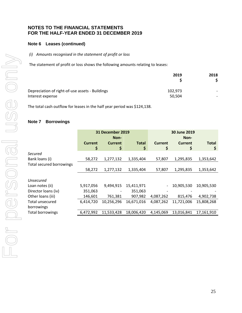# **Note 6 Leases (continued)**

#### *(i) Amounts recognised in the statement of profit or loss*

The statement of profit or loss shows the following amounts relating to leases:

|                                                 | 2019    | 2018 |
|-------------------------------------------------|---------|------|
| Depreciation of right-of-use assets - Buildings | 102.973 |      |
| Interest expense                                | 50,504  |      |

The total cash outflow for leases in the half year period was \$124,138.

# **Note 7 Borrowings**

|                          | <b>31 December 2019</b> |            | 30 June 2019 |           |                |              |
|--------------------------|-------------------------|------------|--------------|-----------|----------------|--------------|
|                          |                         | Non-       |              | Non-      |                |              |
|                          | <b>Current</b>          | Current    | <b>Total</b> | Current   | <b>Current</b> | <b>Total</b> |
|                          | \$                      | \$         | \$           | \$        | \$             | \$           |
| Secured                  |                         |            |              |           |                |              |
| Bank loans (i)           | 58,272                  | 1,277,132  | 1,335,404    | 57,807    | 1,295,835      | 1,353,642    |
| Total secured borrowings |                         |            |              |           |                |              |
|                          | 58,272                  | 1,277,132  | 1,335,404    | 57,807    | 1,295,835      | 1,353,642    |
|                          |                         |            |              |           |                |              |
| Unsecured                |                         |            |              |           |                |              |
| Loan notes (ii)          | 5,917,056               | 9,494,915  | 15,411,971   |           | 10,905,530     | 10,905,530   |
| Director loans (iv)      | 351,063                 |            | 351,063      |           |                |              |
| Other loans (iii)        | 146,601                 | 761,381    | 907,982      | 4,087,262 | 815,476        | 4,902,738    |
| Total unsecured          | 6,414,720               | 10,256,296 | 16,671,016   | 4,087,262 | 11,721,006     | 15,808,268   |
| borrowings               |                         |            |              |           |                |              |
| <b>Total borrowings</b>  | 6,472,992               | 11,533,428 | 18,006,420   | 4,145,069 | 13,016,841     | 17,161,910   |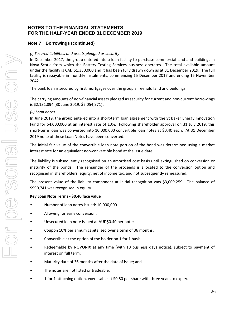# **Note 7 Borrowings (continued)**

#### *(i) Secured liabilities and assets pledged as security*

In December 2017, the group entered into a loan facility to purchase commercial land and buildings in Nova Scotia from which the Battery Testing Services business operates. The total available amount under the facility is CAD \$1,330,000 and it has been fully drawn down as at 31 December 2019. The full facility is repayable in monthly instalments, commencing 15 December 2017 and ending 15 November 2042.

The bank loan is secured by first mortgages over the group's freehold land and buildings.

The carrying amounts of non-financial assets pledged as security for current and non-current borrowings is \$2,131,894 (30 June 2019: \$2,054,971) .

#### *(ii) Loan notes*

In June 2019, the group entered into a short-term loan agreement with the St Baker Energy Innovation Fund for \$4,000,000 at an interest rate of 10%. Following shareholder approval on 31 July 2019, this short-term loan was converted into 10,000,000 convertible loan notes at \$0.40 each. At 31 December 2019 none of these Loan Notes have been converted.

The initial fair value of the convertible loan note portion of the bond was determined using a market interest rate for an equivalent non‐convertible bond at the issue date.

The liability is subsequently recognised on an amortised cost basis until extinguished on conversion or maturity of the bonds. The remainder of the proceeds is allocated to the conversion option and recognised in shareholders' equity, net of income tax, and not subsequently remeasured.

The present value of the liability component at initial recognition was \$3,009,259. The balance of \$990,741 was recognised in equity.

# **Key Loan Note Terms ‐ \$0.40 face value**

- Number of loan notes issued: 10,000,000
- Allowing for early conversion;
- Unsecured loan note issued at AUD\$0.40 per note;
- Coupon 10% per annum capitalised over a term of 36 months;
- Convertible at the option of the holder on 1 for 1 basis;
- Redeemable by NOVONIX at any time (with 10 business days notice), subject to payment of interest on full term;
- Maturity date of 36 months after the date of issue; and
- The notes are not listed or tradeable.
- 1 for 1 attaching option, exercisable at \$0.80 per share with three years to expiry.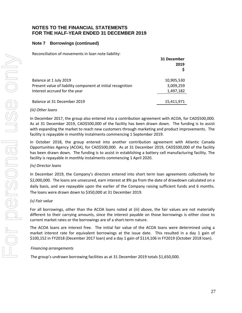# **Note 7 Borrowings (continued)**

Reconciliation of movements in loan note liability:

| 31 December<br>2019 |
|---------------------|
| 10,905,530          |
| 3,009,259           |
| 1,497,182           |
| 15,411,971          |
|                     |

#### *(iii) Other loans*

In December 2017, the group also entered into a contribution agreement with ACOA, for CAD\$500,000. As at 31 December 2019, CAD\$500,000 of the facility has been drawn down. The funding is to assist with expanding the market to reach new customers through marketing and product improvements. The facility is repayable in monthly instalments commencing 1 September 2019.

In October 2018, the group entered into another contribution agreement with Atlantic Canada Opportunities Agency (ACOA), for CAD\$500,000. As at 31 December 2019, CAD\$500,000 of the facility has been drawn down. The funding is to assist in establishing a battery cell manufacturing facility. The facility is repayable in monthly instalments commencing 1 April 2020.

#### *(iv) Director loans*

In December 2019, the Company's directors entered into short term loan agreements collectively for \$2,000,000. The loans are unsecured, earn interest at 8% pa from the date of drawdown calculated on a daily basis, and are repayable upon the earlier of the Company raising sufficient funds and 6 months. The loans were drawn down to \$350,000 at 31 December 2019.

#### *(v) Fair value*

For all borrowings, other than the ACOA loans noted at (iii) above, the fair values are not materially different to their carrying amounts, since the interest payable on those borrowings is either close to current market rates or the borrowings are of a short‐term nature.

The ACOA loans are interest free. The initial fair value of the ACOA loans were determined using a market interest rate for equivalent borrowings at the issue date. This resulted in a day 1 gain of \$100,152 in FY2018 (December 2017 loan) and a day 1 gain of \$114,106 in FY2019 (October 2018 loan).

#### *Financing arrangements*

The group's undrawn borrowing facilities as at 31 December 2019 totals \$1,650,000.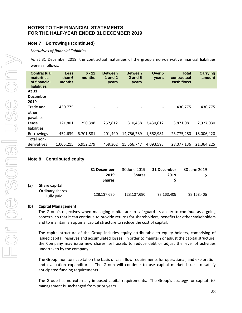#### **Note 7 Borrowings (continued)**

#### *Maturities of financial liabilities*

As at 31 December 2019, the contractual maturities of the group's non‐derivative financial liabilities were as follows:

| <b>Contractual</b><br>maturities<br>of financial<br><b>liabilities</b> | Less<br>than 6<br>months | $6 - 12$<br>months | <b>Between</b><br>1 and $2$<br>years | <b>Between</b><br><b>2 and 5</b><br>years | Over 5<br>years          | <b>Total</b><br>contractual<br>cash flows | <b>Carrying</b><br>amount |
|------------------------------------------------------------------------|--------------------------|--------------------|--------------------------------------|-------------------------------------------|--------------------------|-------------------------------------------|---------------------------|
| At 31<br>December<br>2019                                              |                          |                    |                                      |                                           |                          |                                           |                           |
| Trade and<br>other<br>payables                                         | 430,775                  |                    |                                      | -                                         | $\overline{\phantom{a}}$ | 430,775                                   | 430,775                   |
| Lease<br>liabilities                                                   | 121,801                  | 250,398            | 257,812                              | 810,458                                   | 2,430,612                | 3,871,081                                 | 2,927,030                 |
| <b>Borrowings</b>                                                      | 452,639                  | 6,701,881          | 201,490                              | 14,756,289                                | 1,662,981                | 23,775,280                                | 18,006,420                |
| Total non-<br>derivatives                                              | 1,005,215                | 6,952,279          | 459,302                              | 15,566,747                                | 4,093,593                | 28,077,136                                | 21,364,225                |

#### **Note 8 Contributed equity**

|                                                       | 31 December<br>2019<br><b>Shares</b> | 30 June 2019<br><b>Shares</b> | 31 December<br>2019 | 30 June 2019 |
|-------------------------------------------------------|--------------------------------------|-------------------------------|---------------------|--------------|
| (a)<br>Share capital<br>Ordinary shares<br>Fully paid | 128,137,680                          | 128,137,680                   | 38,163,405          | 38,163,405   |

#### **(b) Capital Management**

The Group's objectives when managing capital are to safeguard its ability to continue as a going concern, so that it can continue to provide returns for shareholders, benefits for other stakeholders and to maintain an optimal capital structure to reduce the cost of capital.

The capital structure of the Group includes equity attributable to equity holders, comprising of issued capital, reserves and accumulated losses. In order to maintain or adjust the capital structure, the Company may issue new shares, sell assets to reduce debt or adjust the level of activities undertaken by the company.

The Group monitors capital on the basis of cash flow requirements for operational, and exploration and evaluation expenditure. The Group will continue to use capital market issues to satisfy anticipated funding requirements.

The Group has no externally imposed capital requirements. The Group's strategy for capital risk management is unchanged from prior years.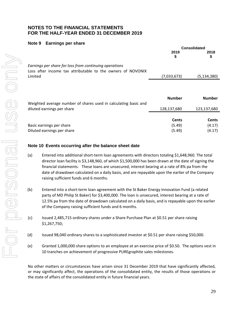#### **Note 9 Earnings per share**

|                                                                                                                       | <b>Consolidated</b> |               |  |
|-----------------------------------------------------------------------------------------------------------------------|---------------------|---------------|--|
|                                                                                                                       | 2019<br>\$          | 2018<br>\$    |  |
| Earnings per share for loss from continuing operations<br>Loss after income tax attributable to the owners of NOVONIX |                     |               |  |
| Limited                                                                                                               | (7,033,673)         | (5, 134, 380) |  |
| Weighted average number of shares used in calculating basic and                                                       | <b>Number</b>       | <b>Number</b> |  |
| diluted earnings per share                                                                                            | 128,137,680         | 123,137,680   |  |
|                                                                                                                       |                     |               |  |
|                                                                                                                       | <b>Cents</b>        | <b>Cents</b>  |  |
| Basic earnings per share                                                                                              | (5.49)              | (4.17)        |  |
| Diluted earnings per share                                                                                            | (5.49)              | (4.17)        |  |

# **Note 10 Events occurring after the balance sheet date**

- (a) Entered into additional short‐term loan agreements with directors totaling \$1,648,960. The total director loan facility is \$3,148,960, of which \$1,500,000 has been drawn at the date of signing the financial statements. These loans are unsecured, interest bearing at a rate of 8% pa from the date of drawdown calculated on a daily basis, and are repayable upon the earlier of the Company raising sufficient funds and 6 months.
- (b) Entered into a short-term loan agreement with the St Baker Energy Innovation Fund (a related party of MD Philip St Baker) for \$3,400,000. The loan is unsecured, interest bearing at a rate of 12.5% pa from the date of drawdown calculated on a daily basis, and is repayable upon the earlier of the Company raising sufficient funds and 6 months.
- (c) Issued 2,485,715 ordinary shares under a Share Purchase Plan at \$0.51 per share raising \$1,267,750;
- (d) Issued 98,040 ordinary shares to a sophisticated investor at \$0.51 per share raising \$50,000.
- (e) Granted 1,000,000 share options to an employee at an exercise price of \$0.50. The options vest in 10 tranches on achievement of progressive PUREgraphite sales milestones.

No other matters or circumstances have arisen since 31 December 2019 that have significantly affected, or may significantly affect, the operations of the consolidated entity, the results of those operations or the state of affairs of the consolidated entity in future financial years.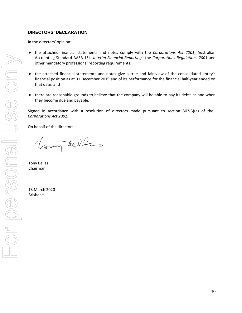# **DIRECTORS' DECLARATION**

In the directors' opinion:

- the attached financial statements and notes comply with the *Corporations Act 2001*, Australian Accounting Standard AASB 134 *'Interim Financial Reporting*', the *Corporations Regulations 2001* and other mandatory professional reporting requirements;
- the attached financial statements and notes give a true and fair view of the consolidated entity's financial position as at 31 December 2019 and of its performance for the financial half‐year ended on that date; and
- there are reasonable grounds to believe that the company will be able to pay its debts as and when they become due and payable.

Signed in accordance with a resolution of directors made pursuant to section 303(5)(a) of the *Corporations Act 2001*.

On behalf of the directors

Vary Belles

Tony Bellas Chairman

13 March 2020 Brisbane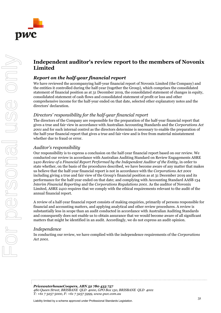

# **Independent auditor's review report to the members of Novonix Limited**

# *Report on the half-year financial report*

We have reviewed the accompanying half-year financial report of Novonix Limited (the Company) and the entities it controlled during the half-year (together the Group), which comprises the consolidated statement of financial position as at 31 December 2019, the consolidated statement of changes in equity, consolidated statement of cash flows and consolidated statement of profit or loss and other comprehensive income for the half-year ended on that date, selected other explanatory notes and the directors' declaration.

# *Directors' responsibility for the half-year financial report*

The directors of the Company are responsible for the preparation of the half-year financial report that gives a true and fair view in accordance with Australian Accounting Standards and the *Corporations Act 2001* and for such internal control as the directors determine is necessary to enable the preparation of the half-year financial report that gives a true and fair view and is free from material misstatement whether due to fraud or error.

# *Auditor's responsibility*

Our responsibility is to express a conclusion on the half-year financial report based on our review. We conducted our review in accordance with Australian Auditing Standard on Review Engagements ASRE 2410 *Review of a Financial Report Performed by the Independent Auditor of the Entity*, in order to state whether, on the basis of the procedures described, we have become aware of any matter that makes us believe that the half-year financial report is not in accordance with the *Corporations Act 2001* including giving a true and fair view of the Group's financial position as at 31 December 2019 and its performance for the half-year ended on that date; and complying with Accounting Standard AASB 134 *Interim Financial Reporting* and the *Corporations Regulations 2001*. As the auditor of Novonix Limited, ASRE 2410 requires that we comply with the ethical requirements relevant to the audit of the annual financial report.

A review of a half-year financial report consists of making enquiries, primarily of persons responsible for financial and accounting matters, and applying analytical and other review procedures. A review is substantially less in scope than an audit conducted in accordance with Australian Auditing Standards and consequently does not enable us to obtain assurance that we would become aware of all significant matters that might be identified in an audit. Accordingly, we do not express an audit opinion.

# *Independence*

In conducting our review, we have complied with the independence requirements of the *Corporations Act 2001*.